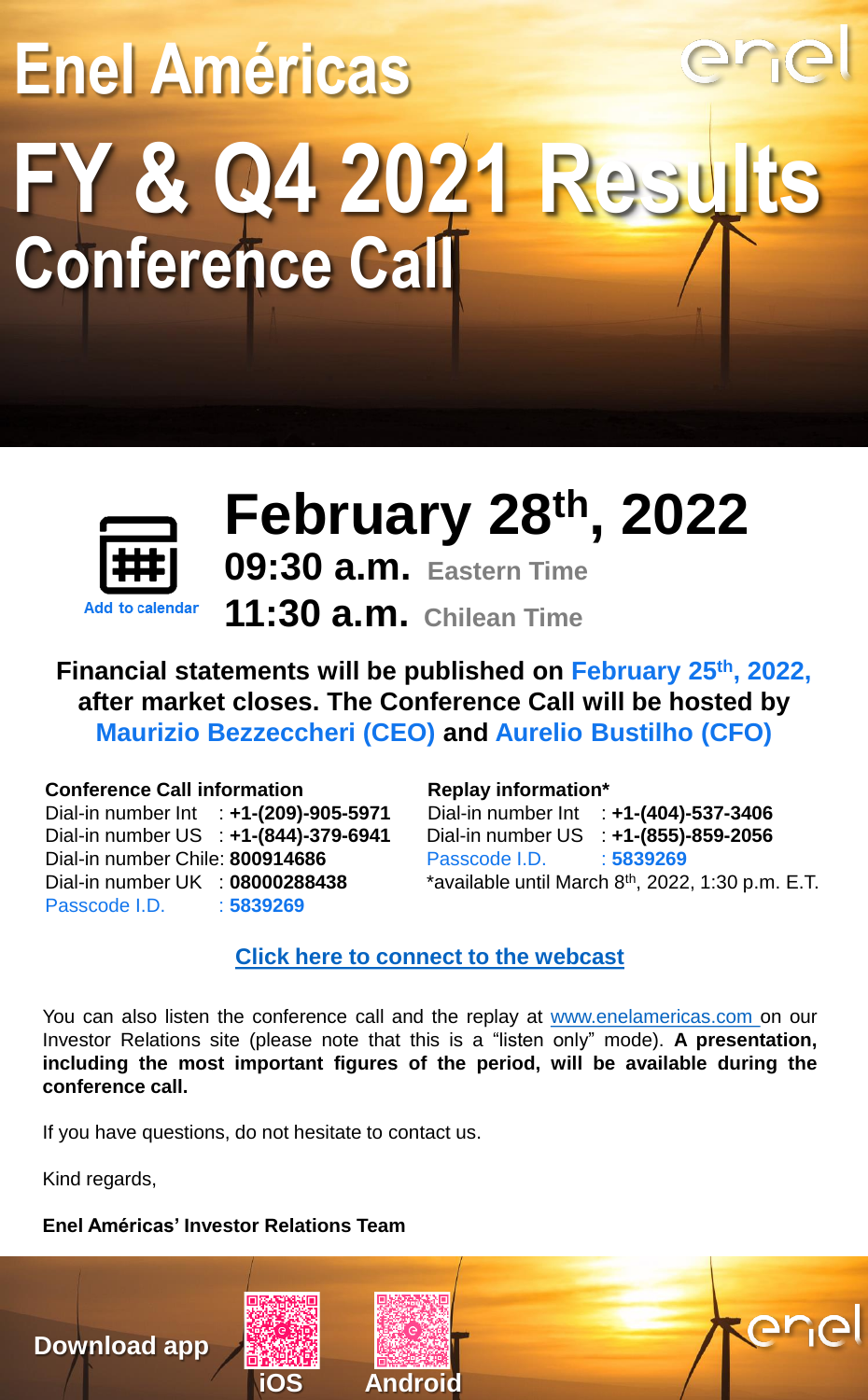# **Enel Américas FY & Q4 2021 Results Conference Call**



## **February 28th, 2022**

**09:30 a.m. Eastern Time 11:30 a.m. Chilean Time**

**Financial statements will be published on February 25th, 2022, after market closes. The Conference Call will be hosted by Maurizio Bezzeccheri (CEO) and Aurelio Bustilho (CFO)**

#### **Conference Call information**

Dial-in number Int : **+1-(209)-905-5971** Dial-in number US : **+1-(844)-379-6941** Dial-in number Chile: **800914686** Dial-in number UK : **08000288438** Passcode I.D. : **5839269**

#### **Replay information\***

Dial-in number Int : **+1-(404)-537-3406** Dial-in number US : **+1-(855)-859-2056** Passcode I.D. : **5839269** \*available until March 8<sup>th</sup>, 2022, 1:30 p.m. E.T.

ene

### **[Click here to connect to the webcast](https://edge.media-server.com/mmc/p/6qaf29aj)**

You can also listen the conference call and the replay at [www.enelamericas.com](https://www.enelamericas.com/en.html.html) on our Investor Relations site (please note that this is a "listen only" mode). **A presentation, including the most important figures of the period, will be available during the conference call.**

If you have questions, do not hesitate to contact us.

Kind regards,

### **Enel Américas' Investor Relations Team**